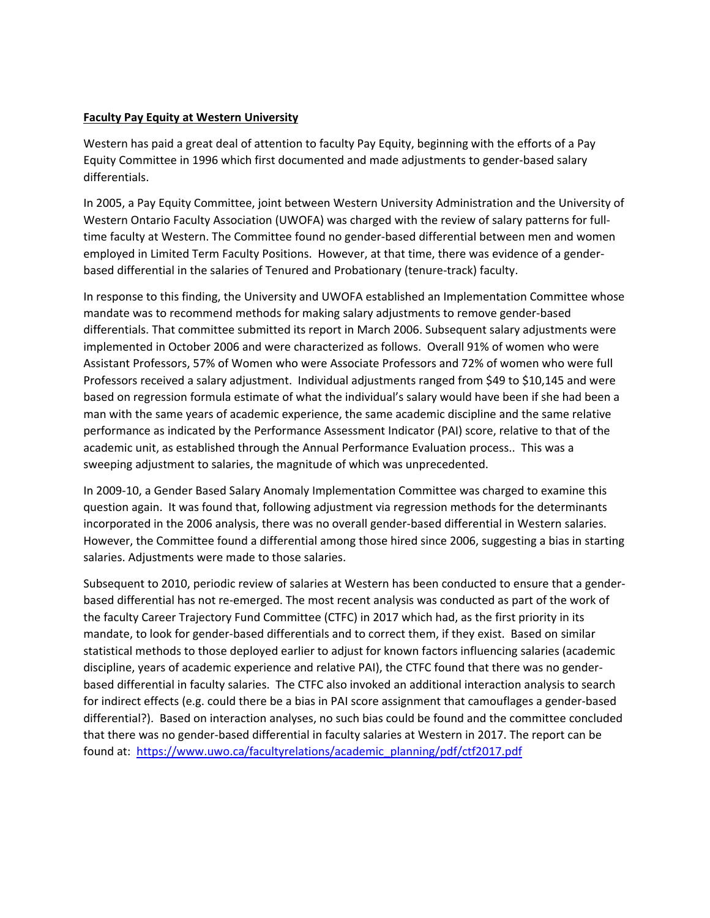## **Faculty Pay Equity at Western University**

Western has paid a great deal of attention to faculty Pay Equity, beginning with the efforts of a Pay Equity Committee in 1996 which first documented and made adjustments to gender‐based salary differentials.

In 2005, a Pay Equity Committee, joint between Western University Administration and the University of Western Ontario Faculty Association (UWOFA) was charged with the review of salary patterns for fulltime faculty at Western. The Committee found no gender‐based differential between men and women employed in Limited Term Faculty Positions. However, at that time, there was evidence of a gender‐ based differential in the salaries of Tenured and Probationary (tenure‐track) faculty.

 man with the same years of academic experience, the same academic discipline and the same relative sweeping adjustment to salaries, the magnitude of which was unprecedented. In response to this finding, the University and UWOFA established an Implementation Committee whose mandate was to recommend methods for making salary adjustments to remove gender‐based differentials. That committee submitted its report in March 2006. Subsequent salary adjustments were implemented in October 2006 and were characterized as follows. Overall 91% of women who were Assistant Professors, 57% of Women who were Associate Professors and 72% of women who were full Professors received a salary adjustment. Individual adjustments ranged from \$49 to \$10,145 and were based on regression formula estimate of what the individual's salary would have been if she had been a performance as indicated by the Performance Assessment Indicator (PAI) score, relative to that of the academic unit, as established through the Annual Performance Evaluation process.. This was a

In 2009-10, a Gender Based Salary Anomaly Implementation Committee was charged to examine this question again. It was found that, following adjustment via regression methods for the determinants incorporated in the 2006 analysis, there was no overall gender‐based differential in Western salaries. However, the Committee found a differential among those hired since 2006, suggesting a bias in starting salaries. Adjustments were made to those salaries.

 for indirect effects (e.g. could there be a bias in PAI score assignment that camouflages a gender‐based differential?). Based on interaction analyses, no such bias could be found and the committee concluded found at: [https://www.uwo.ca/facultyrelations/academic\\_planning/pdf/ctf2017.pdf](https://www.uwo.ca/facultyrelations/academic_planning/pdf/ctf2017.pdf)Subsequent to 2010, periodic review of salaries at Western has been conducted to ensure that a gender‐ based differential has not re‐emerged. The most recent analysis was conducted as part of the work of the faculty Career Trajectory Fund Committee (CTFC) in 2017 which had, as the first priority in its mandate, to look for gender‐based differentials and to correct them, if they exist. Based on similar statistical methods to those deployed earlier to adjust for known factors influencing salaries (academic discipline, years of academic experience and relative PAI), the CTFC found that there was no gender‐ based differential in faculty salaries. The CTFC also invoked an additional interaction analysis to search that there was no gender‐based differential in faculty salaries at Western in 2017. The report can be